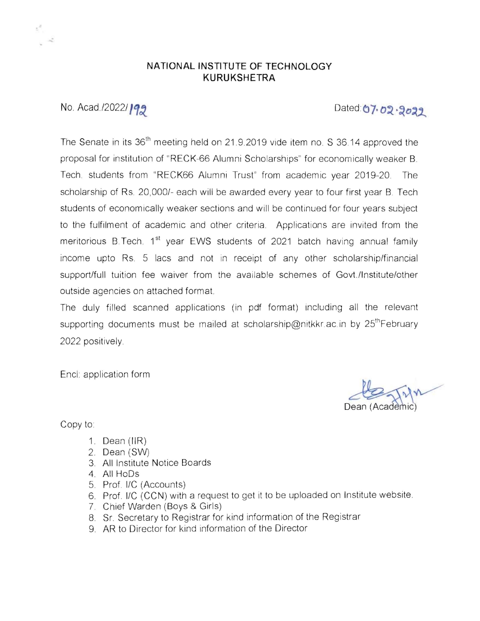## **NATIONAL INSTITUTE OF TECHNOLOGY KURUKSHETRA**

## No. Acad./2022/199

Dated 07.02.2022

The Senate in its 36<sup>th</sup> meeting held on 21.9.2019 vide item no. S 36.14 approved the proposal for institution of "RECK-66 Alumni Scholarships" for economically weaker B. Tech. students from "RECK66 Alumni Trust" from academic year 2019-20. The scholarship of Rs. 20,000/- each will be awarded every year to four first year B. Tech students of economically weaker sections and will be continued for four years subject to the fulfilment of academic and other criteria. Applications are invited from the meritorious B.Tech.  $1^{st}$  year EWS students of 2021 batch having annual family income upto Rs. 5 lacs and not in receipt of any other scholarship/financial support/full tuition fee waiver from the available schemes of Govt./lnstitute/other outside agencies on attached format.

The duly filled scanned applications (in pdf format) including all the relevant supporting documents must be mailed at scholarship@nitkkr.ac.in by 25<sup>th</sup>February 2022 positively.

Encl: application form

 $k_{\rm max}$ Dean (Academic)

Copy to:

- 1. Dean (IIR)
- 2. Dean (SW)
- 3. All Institute Notice Boards
- 4. All HoDs
- 5. Prof. I/C (Accounts)
- 6. Prof. I/C (CCN) with a request to get it to be uploaded on Institute website.
- 7 Chief Warden (Boys & Girls)
- 8. Sr. Secretary to Registrar for kind information of the Registrar
- 9. AR to Director for kind information of the Director